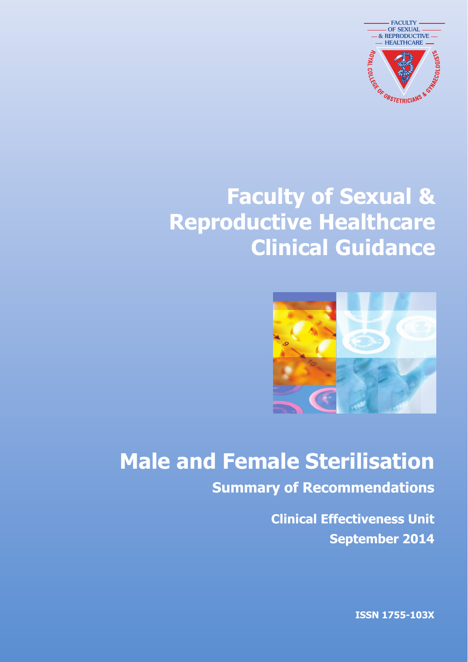

# **Faculty of Sexual & Reproductive Healthcare Clinical Guidance**



# **Male and Female Sterilisation**

**Summary of Recommendations**

**Clinical Effectiveness Unit September 2014**

**ISSN 1755-103X**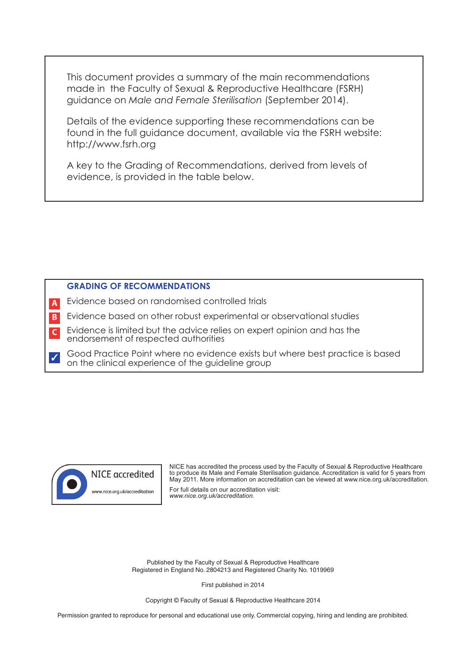This document provides a summary of the main recommendations made in the Faculty of Sexual & Reproductive Healthcare (FSRH) guidance on *Male and Female Sterilisation* (September 2014).

Details of the evidence supporting these recommendations can be found in the full guidance document, available via the FSRH website: http://www.fsrh.org

A key to the Grading of Recommendations, derived from levels of evidence, is provided in the table below.

# **GRADING OF RECOMMENDATIONS**

- Evidence based on randomised controlled trials **A**
- Evidence based on other robust experimental or observational studies **B**
- Evidence is limited but the advice relies on expert opinion and has the endorsement of respected authorities **C**
- Good Practice Point where no evidence exists but where best practice is based on the clinical experience of the guideline group ✓



NICE has accredited the process used by the Faculty of Sexual & Reproductive Healthcare to produce its Male and Female Sterilisation guidance. Accreditation is valid for 5 years from May 2011. More information on accreditation can be viewed at www.nice.org.uk/accreditation.

For full details on our accreditation visit: *www.nice.org.uk/accreditation.*

Published by the Faculty of Sexual & Reproductive Healthcare Registered in England No. 2804213 and Registered Charity No. 1019969

First published in 2014

Copyright © Faculty of Sexual & Reproductive Healthcare 2014

Permission granted to reproduce for personal and educational use only. Commercial copying, hiring and lending are prohibited.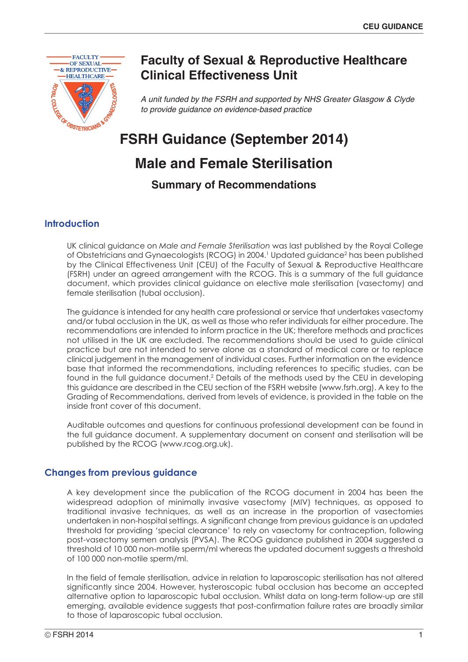

# **Faculty of Sexual & Reproductive Healthcare Clinical Effectiveness Unit**

*A unit funded by the FSRH and supported by NHS Greater Glasgow & Clyde to provide guidance on evidence-based practice*

# **FSRH Guidance (September 2014)**

# **Male and Female Sterilisation**

**Summary of Recommendations**

# **Introduction**

UK clinical guidance on *Male and Female Sterilisation* was last published by the Royal College of Obstetricians and Gynaecologists (RCOG) in 2004. <sup>1</sup> Updated guidance2 has been published by the Clinical Effectiveness Unit (CEU) of the Faculty of Sexual & Reproductive Healthcare (FSRH) under an agreed arrangement with the RCOG. This is a summary of the full guidance document, which provides clinical guidance on elective male sterilisation (vasectomy) and female sterilisation (tubal occlusion).

The guidance is intended for any health care professional or service that undertakes vasectomy and/or tubal occlusion in the UK, as well as those who refer individuals for either procedure. The recommendations are intended to inform practice in the UK; therefore methods and practices not utilised in the UK are excluded. The recommendations should be used to guide clinical practice but are not intended to serve alone as a standard of medical care or to replace clinical judgement in the management of individual cases. Further information on the evidence base that informed the recommendations, including references to specific studies, can be found in the full guidance document.<sup>2</sup> Details of the methods used by the CEU in developing this guidance are described in the CEU section of the FSRH website (www.fsrh.org). A key to the Grading of Recommendations, derived from levels of evidence, is provided in the table on the inside front cover of this document.

Auditable outcomes and questions for continuous professional development can be found in the full guidance document. A supplementary document on consent and sterilisation will be published by the RCOG (www.rcog.org.uk).

# **Changes from previous guidance**

A key development since the publication of the RCOG document in 2004 has been the widespread adoption of minimally invasive vasectomy (MIV) techniques, as opposed to traditional invasive techniques, as well as an increase in the proportion of vasectomies undertaken in non-hospital settings. A significant change from previous guidance is an updated threshold for providing 'special clearance' to rely on vasectomy for contraception, following post-vasectomy semen analysis (PVSA). The RCOG guidance published in 2004 suggested a threshold of 10 000 non-motile sperm/ml whereas the updated document suggests a threshold of 100 000 non-motile sperm/ml.

In the field of female sterilisation, advice in relation to laparoscopic sterilisation has not altered significantly since 2004. However, hysteroscopic tubal occlusion has become an accepted alternative option to laparoscopic tubal occlusion. Whilst data on long-term follow-up are still emerging, available evidence suggests that post-confirmation failure rates are broadly similar to those of laparoscopic tubal occlusion.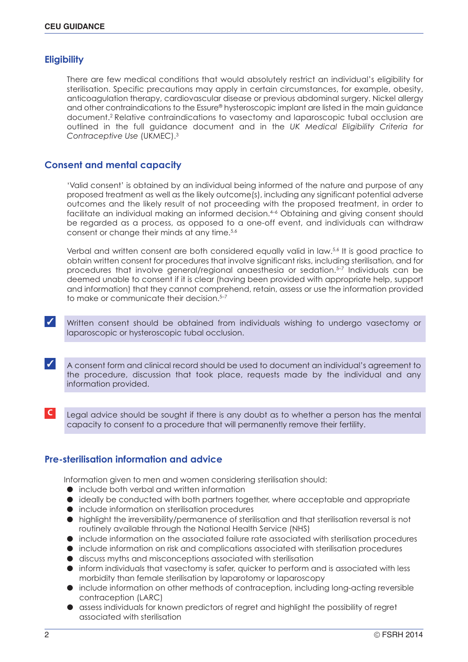# **Eligibility**

There are few medical conditions that would absolutely restrict an individual's eligibility for sterilisation. Specific precautions may apply in certain circumstances, for example, obesity, anticoagulation therapy, cardiovascular disease or previous abdominal surgery. Nickel allergy and other contraindications to the Essure® hysteroscopic implant are listed in the main guidance document. <sup>2</sup> Relative contraindications to vasectomy and laparoscopic tubal occlusion are outlined in the full guidance document and in the *UK Medical Eligibility Criteria for Contraceptive Use* (UKMEC). 3

# **Consent and mental capacity**

'Valid consent' is obtained by an individual being informed of the nature and purpose of any proposed treatment as well as the likely outcome(s), including any significant potential adverse outcomes and the likely result of not proceeding with the proposed treatment, in order to facilitate an individual making an informed decision. 4–6 Obtaining and giving consent should be regarded as a process, as opposed to a one-off event, and individuals can withdraw consent or change their minds at any time.<sup>5,6</sup>

Verbal and written consent are both considered equally valid in law.<sup>5,6</sup> It is good practice to obtain written consent for procedures that involve significant risks, including sterilisation, and for procedures that involve general/regional anaesthesia or sedation. 5–7 Individuals can be deemed unable to consent if it is clear (having been provided with appropriate help, support and information) that they cannot comprehend, retain, assess or use the information provided to make or communicate their decision. 5–7

✓ Written consent should be obtained from individuals wishing to undergo vasectomy or laparoscopic or hysteroscopic tubal occlusion.

✓ <sup>A</sup> consent form and clinical record should be used to document an individual's agreement to the procedure, discussion that took place, requests made by the individual and any information provided.

**C** Legal advice should be sought if there is any doubt as to whether a person has the mental capacity to consent to a procedure that will permanently remove their fertility.

# **Pre-sterilisation information and advice**

Information given to men and women considering sterilisation should:

- include both verbal and written information
- ideally be conducted with both partners together, where acceptable and appropriate
- include information on sterilisation procedures
- highlight the irreversibility/permanence of sterilisation and that sterilisation reversal is not routinely available through the National Health Service (NHS)
- include information on the associated failure rate associated with sterilisation procedures
- include information on risk and complications associated with sterilisation procedures
- discuss myths and misconceptions associated with sterilisation
- inform individuals that vasectomy is safer, quicker to perform and is associated with less morbidity than female sterilisation by laparotomy or laparoscopy
- include information on other methods of contraception, including long-acting reversible contraception (LARC)
- assess individuals for known predictors of regret and highlight the possibility of regret associated with sterilisation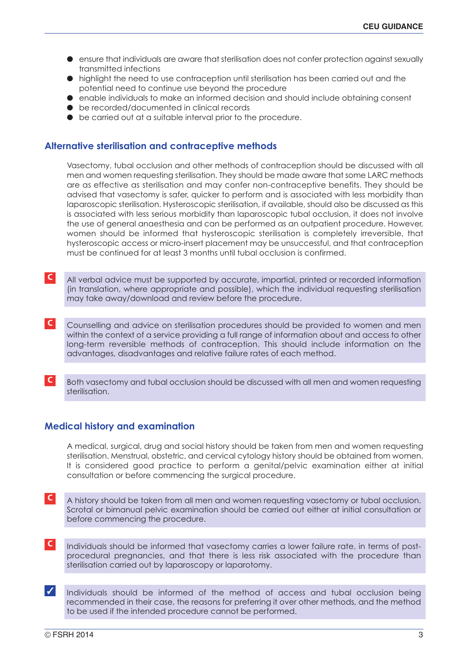- ensure that individuals are aware that sterilisation does not confer protection against sexually transmitted infections
- highlight the need to use contraception until sterilisation has been carried out and the potential need to continue use beyond the procedure
- enable individuals to make an informed decision and should include obtaining consent
- be recorded/documented in clinical records
- be carried out at a suitable interval prior to the procedure.

# **Alternative sterilisation and contraceptive methods**

Vasectomy, tubal occlusion and other methods of contraception should be discussed with all men and women requesting sterilisation. They should be made aware that some LARC methods are as effective as sterilisation and may confer non-contraceptive benefits. They should be advised that vasectomy is safer, quicker to perform and is associated with less morbidity than laparoscopic sterilisation. Hysteroscopic sterilisation, if available, should also be discussed as this is associated with less serious morbidity than laparoscopic tubal occlusion, it does not involve the use of general anaesthesia and can be performed as an outpatient procedure. However, women should be informed that hysteroscopic sterilisation is completely irreversible, that hysteroscopic access or micro-insert placement may be unsuccessful, and that contraception must be continued for at least 3 months until tubal occlusion is confirmed.

- **C** All verbal advice must be supported by accurate, impartial, printed or recorded information (in translation, where appropriate and possible), which the individual requesting sterilisation may take away/download and review before the procedure.
- **C** Counselling and advice on sterilisation procedures should be provided to women and men within the context of a service providing a full range of information about and access to other long-term reversible methods of contraception. This should include information on the advantages, disadvantages and relative failure rates of each method.
- **C** Both vasectomy and tubal occlusion should be discussed with all men and women requesting sterilisation.

# **Medical history and examination**

A medical, surgical, drug and social history should be taken from men and women requesting sterilisation. Menstrual, obstetric, and cervical cytology history should be obtained from women. It is considered good practice to perform a genital/pelvic examination either at initial consultation or before commencing the surgical procedure.

- **C** A history should be taken from all men and women requesting vasectomy or tubal occlusion. Scrotal or bimanual pelvic examination should be carried out either at initial consultation or before commencing the procedure.
- **C** Individuals should be informed that vasectomy carries a lower failure rate, in terms of postprocedural pregnancies, and that there is less risk associated with the procedure than sterilisation carried out by laparoscopy or laparotomy.
- ✓ Individuals should be informed of the method of access and tubal occlusion being recommended in their case, the reasons for preferring it over other methods, and the method to be used if the intended procedure cannot be performed.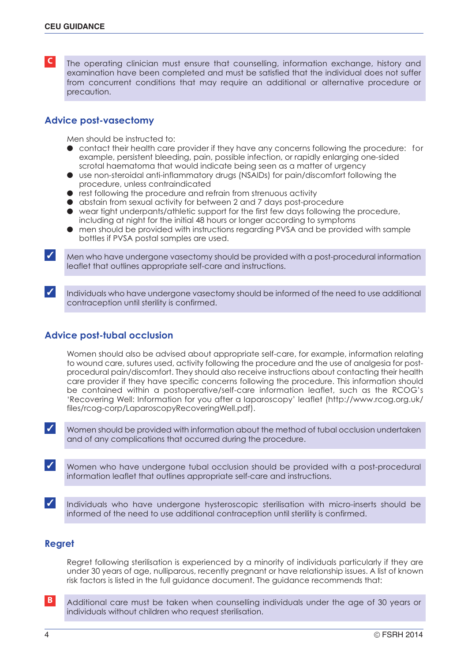**C** The operating clinician must ensure that counselling, information exchange, history and examination have been completed and must be satisfied that the individual does not suffer from concurrent conditions that may require an additional or alternative procedure or precaution.

# **Advice post-vasectomy**

Men should be instructed to:

- contact their health care provider if they have any concerns following the procedure: for example, persistent bleeding, pain, possible infection, or rapidly enlarging one-sided scrotal haematoma that would indicate being seen as a matter of urgency
- use non-steroidal anti-inflammatory drugs (NSAIDs) for pain/discomfort following the procedure, unless contraindicated
- rest following the procedure and refrain from strenuous activity
- abstain from sexual activity for between 2 and 7 days post-procedure
- wear tight underpants/athletic support for the first few days following the procedure, including at night for the initial 48 hours or longer according to symptoms
- men should be provided with instructions regarding PVSA and be provided with sample bottles if PVSA postal samples are used.

 $\triangledown$  Men who have undergone vasectomy should be provided with a post-procedural information leaflet that outlines appropriate self-care and instructions.

Individuals who have undergone vasectomy should be informed of the need to use additional contraception until sterility is confirmed.

# **Advice post-tubal occlusion**

Women should also be advised about appropriate self-care, for example, information relating to wound care, sutures used, activity following the procedure and the use of analgesia for postprocedural pain/discomfort. They should also receive instructions about contacting their health care provider if they have specific concerns following the procedure. This information should be contained within a postoperative/self-care information leaflet, such as the RCOG's 'Recovering Well: Information for you after a laparoscopy' leaflet (http://www.rcog.org.uk/ files/rcog-corp/LaparoscopyRecoveringWell.pdf).

✓ Women should be provided with information about the method of tubal occlusion undertaken and of any complications that occurred during the procedure.

✓ Women who have undergone tubal occlusion should be provided with <sup>a</sup> post-procedural information leaflet that outlines appropriate self-care and instructions.

✓ Individuals who have undergone hysteroscopic sterilisation with micro-inserts should be informed of the need to use additional contraception until sterility is confirmed.

# **Regret**

Regret following sterilisation is experienced by a minority of individuals particularly if they are under 30 years of age, nulliparous, recently pregnant or have relationship issues. A list of known risk factors is listed in the full guidance document. The guidance recommends that:

**B** Additional care must be taken when counselling individuals under the age of 30 years or individuals without children who request sterilisation.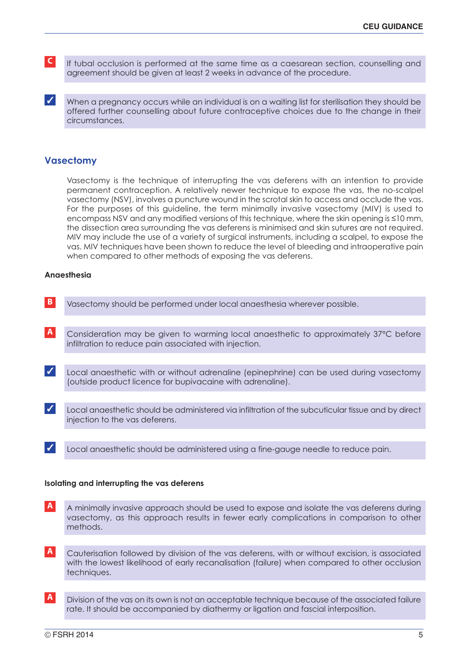- **C** If tubal occlusion is performed at the same time as a caesarean section, counselling and agreement should be given at least 2 weeks in advance of the procedure.
- When a pregnancy occurs while an individual is on a waiting list for sterilisation they should be offered further counselling about future contraceptive choices due to the change in their circumstances.

# **Vasectomy**

Vasectomy is the technique of interrupting the vas deferens with an intention to provide permanent contraception. A relatively newer technique to expose the vas, the no-scalpel vasectomy (NSV), involves a puncture wound in the scrotal skin to access and occlude the vas. For the purposes of this guideline, the term minimally invasive vasectomy (MIV) is used to encompass NSV and any modified versions of this technique, where the skin opening is ≤10 mm, the dissection area surrounding the vas deferens is minimised and skin sutures are not required. MIV may include the use of a variety of surgical instruments, including a scalpel, to expose the vas. MIV techniques have been shown to reduce the level of bleeding and intraoperative pain when compared to other methods of exposing the vas deferens.

#### **Anaesthesia**

- **B** Vasectomy should be performed under local anaesthesia wherever possible. **A** Consideration may be given to warming local anaesthetic to approximately 37°C before infiltration to reduce pain associated with injection. ✓ Local anaesthetic should be administered via infiltration of the subcuticular tissue and by direct injection to the vas deferens. ✓ Local anaesthetic with or without adrenaline (epinephrine) can be used during vasectomy (outside product licence for bupivacaine with adrenaline).
- ✓ Local anaesthetic should be administered using <sup>a</sup> fine-gauge needle to reduce pain.

### **Isolating and interrupting the vas deferens**

- **A** A minimally invasive approach should be used to expose and isolate the vas deferens during vasectomy, as this approach results in fewer early complications in comparison to other methods.
- **A** Cauterisation followed by division of the vas deferens, with or without excision, is associated with the lowest likelihood of early recanalisation (failure) when compared to other occlusion techniques.
- **A** Division of the vas on its own is not an acceptable technique because of the associated failure rate. It should be accompanied by diathermy or ligation and fascial interposition.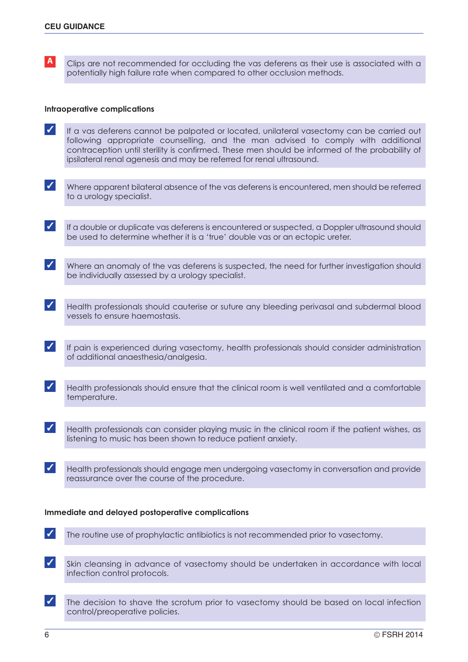**A** Clips are not recommended for occluding the vas deferens as their use is associated with a potentially high failure rate when compared to other occlusion methods.

#### **Intraoperative complications**

- ✓ If <sup>a</sup> vas deferens cannot be palpated or located, unilateral vasectomy can be carried out following appropriate counselling, and the man advised to comply with additional contraception until sterility is confirmed. These men should be informed of the probability of ipsilateral renal agenesis and may be referred for renal ultrasound.
- ✓ Where apparent bilateral absence of the vas deferens is encountered, men should be referred to a urology specialist.
- ✓ If <sup>a</sup> double or duplicate vas deferens is encountered or suspected, <sup>a</sup> Doppler ultrasound should be used to determine whether it is a 'true' double vas or an ectopic ureter.
- $\blacktriangleright$  Where an anomaly of the vas deferens is suspected, the need for further investigation should be individually assessed by a urology specialist.
- ✓ Health professionals should cauterise or suture any bleeding perivasal and subdermal blood vessels to ensure haemostasis.
- ✓ If pain is experienced during vasectomy, health professionals should consider administration of additional anaesthesia/analgesia.
- ✓ Health professionals should ensure that the clinical room is well ventilated and <sup>a</sup> comfortable temperature.
- ✓ Health professionals can consider playing music in the clinical room if the patient wishes, as listening to music has been shown to reduce patient anxiety.
- ✓ Health professionals should engage men undergoing vasectomy in conversation and provide reassurance over the course of the procedure.

## **Immediate and delayed postoperative complications**

- ✓ The routine use of prophylactic antibiotics is not recommended prior to vasectomy.
- ✓ Skin cleansing in advance of vasectomy should be undertaken in accordance with local infection control protocols.
- ✓ The decision to shave the scrotum prior to vasectomy should be based on local infection control/preoperative policies.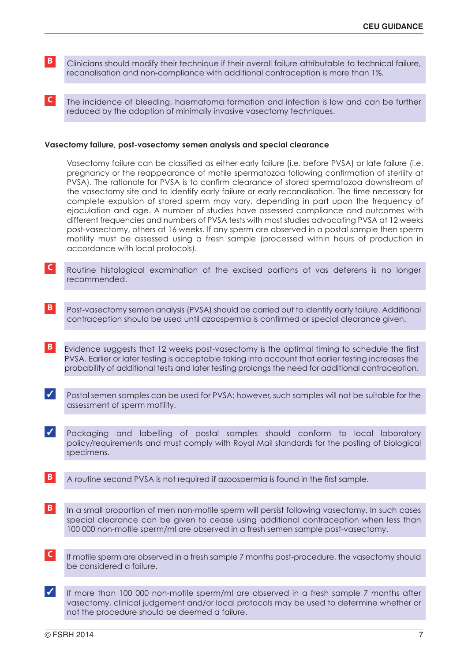- **B** Clinicians should modify their technique if their overall failure attributable to technical failure, recanalisation and non-compliance with additional contraception is more than 1%.
- **C** The incidence of bleeding, haematoma formation and infection is low and can be further reduced by the adoption of minimally invasive vasectomy techniques.

#### **Vasectomy failure, post-vasectomy semen analysis and special clearance**

Vasectomy failure can be classified as either early failure (i.e. before PVSA) or late failure (i.e. pregnancy or the reappearance of motile spermatozoa following confirmation of sterility at PVSA). The rationale for PVSA is to confirm clearance of stored spermatozoa downstream of the vasectomy site and to identify early failure or early recanalisation. The time necessary for complete expulsion of stored sperm may vary, depending in part upon the frequency of ejaculation and age. A number of studies have assessed compliance and outcomes with different frequencies and numbers of PVSA tests with most studies advocating PVSA at 12 weeks post-vasectomy, others at 16 weeks. If any sperm are observed in a postal sample then sperm motility must be assessed using a fresh sample (processed within hours of production in accordance with local protocols).

- **C** Routine histological examination of the excised portions of vas deferens is no longer recommended.
- **B** Post-vasectomy semen analysis (PVSA) should be carried out to identify early failure. Additional contraception should be used until azoospermia is confirmed or special clearance given.
- **B** Evidence suggests that 12 weeks post-vasectomy is the optimal timing to schedule the first PVSA. Earlier or later testing is acceptable taking into account that earlier testing increases the probability of additional tests and later testing prolongs the need for additional contraception.
- ✓ Postal semen samples can be used for PVSA; however, such samples will not be suitable for the assessment of sperm motility.
- ✓ Packaging and labelling of postal samples should conform to local laboratory policy/requirements and must comply with Royal Mail standards for the posting of biological specimens.
- **B** A routine second PVSA is not required if azoospermia is found in the first sample.
- **B** In a small proportion of men non-motile sperm will persist following vasectomy. In such cases special clearance can be given to cease using additional contraception when less than 100 000 non-motile sperm/ml are observed in a fresh semen sample post-vasectomy.
- **C** If motile sperm are observed in a fresh sample 7 months post-procedure, the vasectomy should be considered a failure.
- ✓ If more than <sup>100</sup> <sup>000</sup> non-motile sperm/ml are observed in <sup>a</sup> fresh sample <sup>7</sup> months after vasectomy, clinical judgement and/or local protocols may be used to determine whether or not the procedure should be deemed a failure.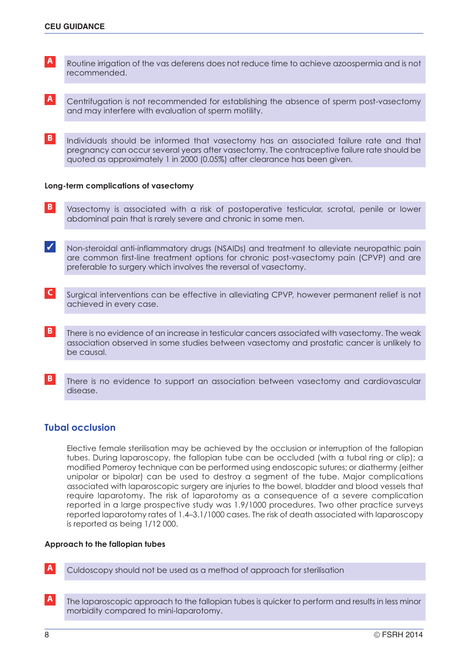- **A** Routine irrigation of the vas deferens does not reduce time to achieve azoospermia and is not recommended.
- **A** Centrifugation is not recommended for establishing the absence of sperm post-vasectomy and may interfere with evaluation of sperm motility.
- **B** Individuals should be informed that vasectomy has an associated failure rate and that pregnancy can occur several years after vasectomy. The contraceptive failure rate should be quoted as approximately 1 in 2000 (0.05%) after clearance has been given.

## **Long-term complications of vasectomy**

- **B** Vasectomy is associated with a risk of postoperative testicular, scrotal, penile or lower abdominal pain that is rarely severe and chronic in some men.
- ✓ Non-steroidal anti-inflammatory drugs (NSAIDs) and treatment to alleviate neuropathic pain are common first-line treatment options for chronic post-vasectomy pain (CPVP) and are preferable to surgery which involves the reversal of vasectomy.
- **C** Surgical interventions can be effective in alleviating CPVP, however permanent relief is not achieved in every case.
- **B** There is no evidence of an increase in testicular cancers associated with vasectomy. The weak association observed in some studies between vasectomy and prostatic cancer is unlikely to be causal.
- **B** There is no evidence to support an association between vasectomy and cardiovascular disease.

# **Tubal occlusion**

Elective female sterilisation may be achieved by the occlusion or interruption of the fallopian tubes. During laparoscopy, the fallopian tube can be occluded (with a tubal ring or clip); a modified Pomeroy technique can be performed using endoscopic sutures; or diathermy (either unipolar or bipolar) can be used to destroy a segment of the tube. Major complications associated with laparoscopic surgery are injuries to the bowel, bladder and blood vessels that require laparotomy. The risk of laparotomy as a consequence of a severe complication reported in a large prospective study was 1.9/1000 procedures. Two other practice surveys reported laparotomy rates of 1.4–3.1/1000 cases. The risk of death associated with laparoscopy is reported as being 1/12 000.

#### **Approach to the fallopian tubes**

**A** Culdoscopy should not be used as a method of approach for sterilisation

**A** The laparoscopic approach to the fallopian tubes is quicker to perform and results in less minor morbidity compared to mini-laparotomy.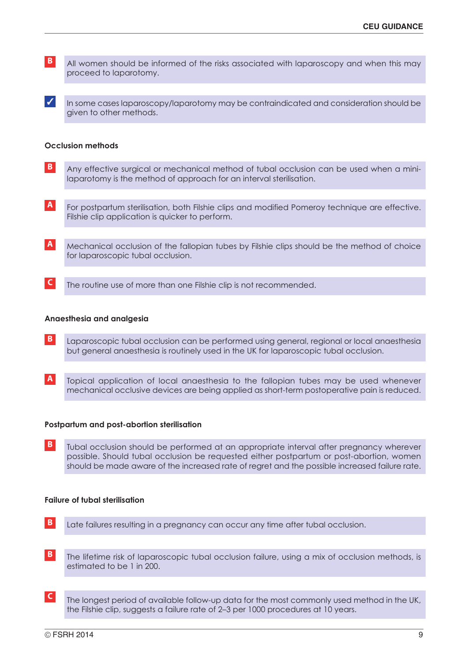**B** All women should be informed of the risks associated with laparoscopy and when this may proceed to laparotomy.

✓ In some cases laparoscopy/laparotomy may be contraindicated and consideration should be given to other methods.

## **Occlusion methods**

- **B** Any effective surgical or mechanical method of tubal occlusion can be used when a minilaparotomy is the method of approach for an interval sterilisation.
- **A** For postpartum sterilisation, both Filshie clips and modified Pomeroy technique are effective. Filshie clip application is quicker to perform.
- **A** Mechanical occlusion of the fallopian tubes by Filshie clips should be the method of choice for laparoscopic tubal occlusion.
- **C** The routine use of more than one Filshie clip is not recommended.

#### **Anaesthesia and analgesia**

- **B** Laparoscopic tubal occlusion can be performed using general, regional or local anaesthesia but general anaesthesia is routinely used in the UK for laparoscopic tubal occlusion.
- **A** Topical application of local anaesthesia to the fallopian tubes may be used whenever mechanical occlusive devices are being applied as short-term postoperative pain is reduced.

#### **Postpartum and post-abortion sterilisation**

**B** Tubal occlusion should be performed at an appropriate interval after pregnancy wherever possible. Should tubal occlusion be requested either postpartum or post-abortion, women should be made aware of the increased rate of regret and the possible increased failure rate.

### **Failure of tubal sterilisation**

- **B** Late failures resulting in a pregnancy can occur any time after tubal occlusion.
- **B** The lifetime risk of laparoscopic tubal occlusion failure, using a mix of occlusion methods, is estimated to be 1 in 200.
- **C** The longest period of available follow-up data for the most commonly used method in the UK, the Filshie clip, suggests a failure rate of 2–3 per 1000 procedures at 10 years.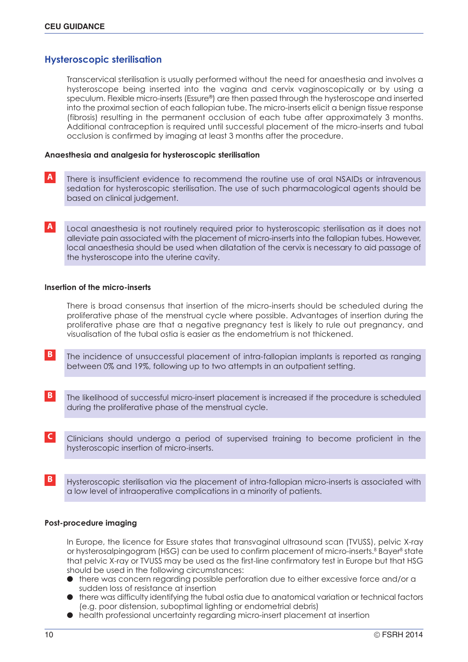# **Hysteroscopic sterilisation**

Transcervical sterilisation is usually performed without the need for anaesthesia and involves a hysteroscope being inserted into the vagina and cervix vaginoscopically or by using a speculum. Flexible micro-inserts (Essure®) are then passed through the hysteroscope and inserted into the proximal section of each fallopian tube. The micro-inserts elicit a benign tissue response (fibrosis) resulting in the permanent occlusion of each tube after approximately 3 months. Additional contraception is required until successful placement of the micro-inserts and tubal occlusion is confirmed by imaging at least 3 months after the procedure.

### **Anaesthesia and analgesia for hysteroscopic sterilisation**

- **A** There is insufficient evidence to recommend the routine use of oral NSAIDs or intravenous sedation for hysteroscopic sterilisation. The use of such pharmacological agents should be based on clinical judgement.
- **A** Local anaesthesia is not routinely required prior to hysteroscopic sterilisation as it does not alleviate pain associated with the placement of micro-inserts into the fallopian tubes. However, local anaesthesia should be used when dilatation of the cervix is necessary to aid passage of the hysteroscope into the uterine cavity.

#### **Insertion of the micro-inserts**

There is broad consensus that insertion of the micro-inserts should be scheduled during the proliferative phase of the menstrual cycle where possible. Advantages of insertion during the proliferative phase are that a negative pregnancy test is likely to rule out pregnancy, and visualisation of the tubal ostia is easier as the endometrium is not thickened.

- **B** The incidence of unsuccessful placement of intra-fallopian implants is reported as ranging between 0% and 19%, following up to two attempts in an outpatient setting.
- **B** The likelihood of successful micro-insert placement is increased if the procedure is scheduled during the proliferative phase of the menstrual cycle.
- **C** Clinicians should undergo a period of supervised training to become proficient in the hysteroscopic insertion of micro-inserts.
- **B** Hysteroscopic sterilisation via the placement of intra-fallopian micro-inserts is associated with a low level of intraoperative complications in a minority of patients.

## **Post-procedure imaging**

In Europe, the licence for Essure states that transvaginal ultrasound scan (TVUSS), pelvic X-ray or hysterosalpingogram (HSG) can be used to confirm placement of micro-inserts.<sup>8</sup> Bayer<sup>8</sup> state that pelvic X-ray or TVUSS may be used as the first-line confirmatory test in Europe but that HSG should be used in the following circumstances:

- there was concern regarding possible perforation due to either excessive force and/or a sudden loss of resistance at insertion
- there was difficulty identifying the tubal ostia due to anatomical variation or technical factors (e.g. poor distension, suboptimal lighting or endometrial debris)
- health professional uncertainty regarding micro-insert placement at insertion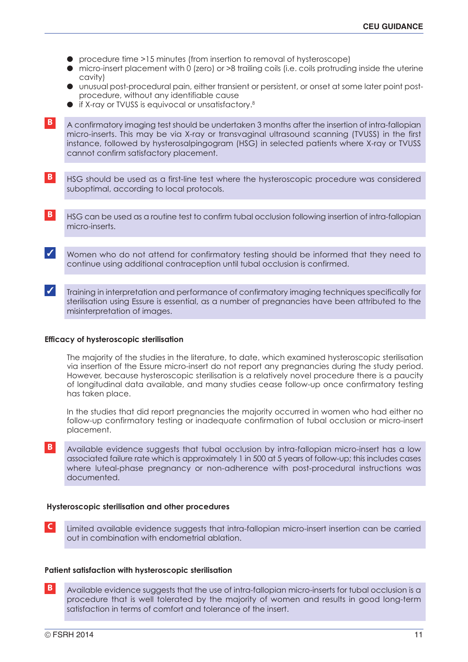- procedure time >15 minutes (from insertion to removal of hysteroscope)
- micro-insert placement with 0 (zero) or >8 trailing coils (i.e. coils protruding inside the uterine cavity)
- unusual post-procedural pain, either transient or persistent, or onset at some later point postprocedure, without any identifiable cause
- if X-ray or TVUSS is equivocal or unsatisfactory. 8

**B** A confirmatory imaging test should be undertaken 3 months after the insertion of intra-fallopian micro-inserts. This may be via X-ray or transvaginal ultrasound scanning (TVUSS) in the first instance, followed by hysterosalpingogram (HSG) in selected patients where X-ray or TVUSS cannot confirm satisfactory placement.

- **B** HSG should be used as a first-line test where the hysteroscopic procedure was considered suboptimal, according to local protocols.
- **B** HSG can be used as a routine test to confirm tubal occlusion following insertion of intra-fallopian micro-inserts.
- ✓ Women who do not attend for confirmatory testing should be informed that they need to continue using additional contraception until tubal occlusion is confirmed.
- ✓ Training in interpretation and performance of confirmatory imaging techniques specifically for sterilisation using Essure is essential, as a number of pregnancies have been attributed to the misinterpretation of images.

## **Efficacy of hysteroscopic sterilisation**

The majority of the studies in the literature, to date, which examined hysteroscopic sterilisation via insertion of the Essure micro-insert do not report any pregnancies during the study period. However, because hysteroscopic sterilisation is a relatively novel procedure there is a paucity of longitudinal data available, and many studies cease follow-up once confirmatory testing has taken place.

In the studies that did report pregnancies the majority occurred in women who had either no follow-up confirmatory testing or inadequate confirmation of tubal occlusion or micro-insert placement.

**B** Available evidence suggests that tubal occlusion by intra-fallopian micro-insert has a low associated failure rate which is approximately 1 in 500 at 5 years of follow-up; this includes cases where luteal-phase pregnancy or non-adherence with post-procedural instructions was documented.

### **Hysteroscopic sterilisation and other procedures**

**C** Limited available evidence suggests that intra-fallopian micro-insert insertion can be carried out in combination with endometrial ablation.

### **Patient satisfaction with hysteroscopic sterilisation**

**B** Available evidence suggests that the use of intra-fallopian micro-inserts for tubal occlusion is a procedure that is well tolerated by the majority of women and results in good long-term satisfaction in terms of comfort and tolerance of the insert.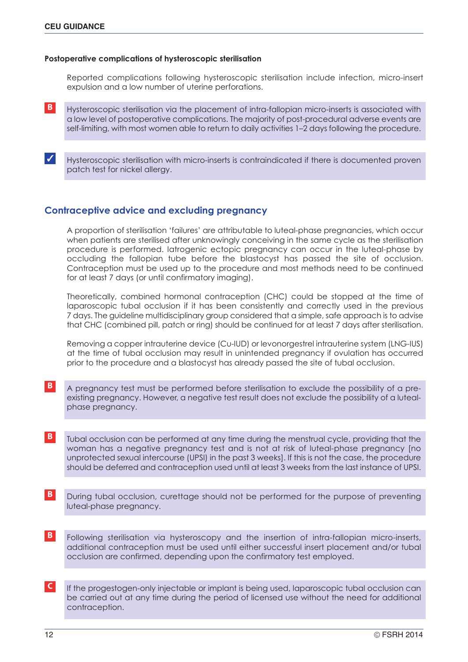### **Postoperative complications of hysteroscopic sterilisation**

Reported complications following hysteroscopic sterilisation include infection, micro-insert expulsion and a low number of uterine perforations.

**B** Hysteroscopic sterilisation via the placement of intra-fallopian micro-inserts is associated with a low level of postoperative complications. The majority of post-procedural adverse events are self-limiting, with most women able to return to daily activities 1–2 days following the procedure.

✓ Hysteroscopic sterilisation with micro-inserts is contraindicated if there is documented proven patch test for nickel allergy.

# **Contraceptive advice and excluding pregnancy**

A proportion of sterilisation 'failures' are attributable to luteal-phase pregnancies, which occur when patients are sterilised after unknowingly conceiving in the same cycle as the sterilisation procedure is performed. Iatrogenic ectopic pregnancy can occur in the luteal-phase by occluding the fallopian tube before the blastocyst has passed the site of occlusion. Contraception must be used up to the procedure and most methods need to be continued for at least 7 days (or until confirmatory imaging).

Theoretically, combined hormonal contraception (CHC) could be stopped at the time of laparoscopic tubal occlusion if it has been consistently and correctly used in the previous 7 days. The guideline multidisciplinary group considered that a simple, safe approach is to advise that CHC (combined pill, patch or ring) should be continued for at least 7 days after sterilisation.

Removing a copper intrauterine device (Cu-IUD) or levonorgestrel intrauterine system (LNG-IUS) at the time of tubal occlusion may result in unintended pregnancy if ovulation has occurred prior to the procedure and a blastocyst has already passed the site of tubal occlusion.

- **B** A pregnancy test must be performed before sterilisation to exclude the possibility of a preexisting pregnancy. However, a negative test result does not exclude the possibility of a lutealphase pregnancy.
- **B** Tubal occlusion can be performed at any time during the menstrual cycle, providing that the woman has a negative pregnancy test and is not at risk of luteal-phase pregnancy [no unprotected sexual intercourse (UPSI) in the past 3 weeks]. If this is not the case, the procedure should be deferred and contraception used until at least 3 weeks from the last instance of UPSI.
- **B** During tubal occlusion, curettage should not be performed for the purpose of preventing luteal-phase pregnancy.
- **B** Following sterilisation via hysteroscopy and the insertion of intra-fallopian micro-inserts, additional contraception must be used until either successful insert placement and/or tubal occlusion are confirmed, depending upon the confirmatory test employed.
- **C** If the progestogen-only injectable or implant is being used, laparoscopic tubal occlusion can be carried out at any time during the period of licensed use without the need for additional contraception.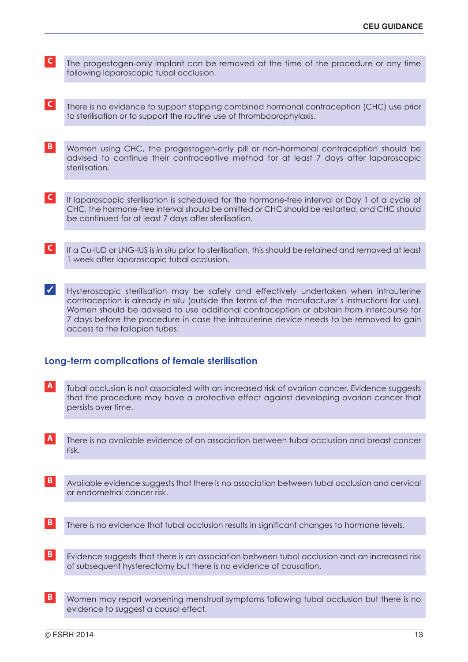- **C** The progestogen-only implant can be removed at the time of the procedure or any time following laparoscopic tubal occlusion.
- **C** There is no evidence to support stopping combined hormonal contraception (CHC) use prior to sterilisation or to support the routine use of thromboprophylaxis.
- **B** Women using CHC, the progestogen-only pill or non-hormonal contraception should be advised to continue their contraceptive method for at least 7 days after laparoscopic sterilisation.
- **C** If laparoscopic sterilisation is scheduled for the hormone-free interval or Day 1 of a cycle of CHC, the hormone-free interval should be omitted or CHC should be restarted, and CHC should be continued for at least 7 days after sterilisation.
- **C** If a Cu-IUD or LNG-IUS is *in situ* prior to sterilisation, this should be retained and removed at least 1 week after laparoscopic tubal occlusion.
- ✓ Hysteroscopic sterilisation may be safely and effectively undertaken when intrauterine contraception is already *in situ* (outside the terms of the manufacturer's instructions for use). Women should be advised to use additional contraception or abstain from intercourse for 7 days before the procedure in case the intrauterine device needs to be removed to gain access to the fallopian tubes.

# **Long-term complications of female sterilisation**

- **A** Tubal occlusion is not associated with an increased risk of ovarian cancer. Evidence suggests that the procedure may have a protective effect against developing ovarian cancer that persists over time.
- **A** There is no available evidence of an association between tubal occlusion and breast cancer risk.
- **B** Available evidence suggests that there is no association between tubal occlusion and cervical or endometrial cancer risk.
- **B** There is no evidence that tubal occlusion results in significant changes to hormone levels.
- **B** Evidence suggests that there is an association between tubal occlusion and an increased risk of subsequent hysterectomy but there is no evidence of causation.
- **B** Women may report worsening menstrual symptoms following tubal occlusion but there is no evidence to suggest a causal effect.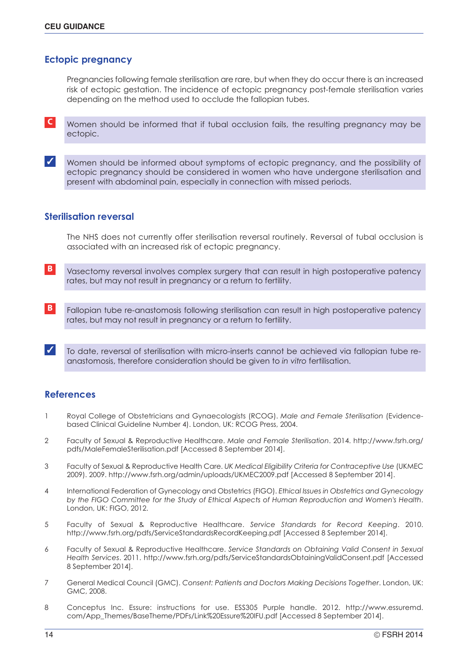# **Ectopic pregnancy**

Pregnancies following female sterilisation are rare, but when they do occur there is an increased risk of ectopic gestation. The incidence of ectopic pregnancy post-female sterilisation varies depending on the method used to occlude the fallopian tubes.

**C** Women should be informed that if tubal occlusion fails, the resulting pregnancy may be ectopic.

✓ Women should be informed about symptoms of ectopic pregnancy, and the possibility of ectopic pregnancy should be considered in women who have undergone sterilisation and present with abdominal pain, especially in connection with missed periods.

# **Sterilisation reversal**

The NHS does not currently offer sterilisation reversal routinely. Reversal of tubal occlusion is associated with an increased risk of ectopic pregnancy.

- **B** Vasectomy reversal involves complex surgery that can result in high postoperative patency rates, but may not result in pregnancy or a return to fertility.
- **B** Fallopian tube re-anastomosis following sterilisation can result in high postoperative patency rates, but may not result in pregnancy or a return to fertility.
- ✓ To date, reversal of sterilisation with micro-inserts cannot be achieved via fallopian tube reanastomosis, therefore consideration should be given to *in vitro* fertilisation.

# **References**

- 1 Royal College of Obstetricians and Gynaecologists (RCOG). *Male and Female Sterilisation* (Evidencebased Clinical Guideline Number 4). London, UK: RCOG Press, 2004.
- 2 Faculty of Sexual & Reproductive Healthcare. *Male and Female Sterilisation*. 2014. http://www.fsrh.org/ pdfs/MaleFemaleSterilisation.pdf [Accessed 8 September 2014].
- 3 Faculty of Sexual & Reproductive Health Care. *UK Medical Eligibility Criteria for Contraceptive Use* (UKMEC 2009). 2009. http://www.fsrh.org/admin/uploads/UKMEC2009.pdf [Accessed 8 September 2014].
- 4 International Federation of Gynecology and Obstetrics (FIGO). *Ethical Issues in Obstetrics and Gynecology by the FIGO Committee for the Study of Ethical Aspects of Human Reproduction and Women's Health*. London, UK: FIGO, 2012.
- 5 Faculty of Sexual & Reproductive Healthcare. *Service Standards for Record Keeping*. 2010. http://www.fsrh.org/pdfs/ServiceStandardsRecordKeeping.pdf [Accessed 8 September 2014].
- 6 Faculty of Sexual & Reproductive Healthcare. *Service Standards on Obtaining Valid Consent in Sexual Health Services*. 2011. http://www.fsrh.org/pdfs/ServiceStandardsObtainingValidConsent.pdf [Accessed 8 September 2014].
- 7 General Medical Council (GMC). *Consent: Patients and Doctors Making Decisions Together*. London, UK: GMC, 2008.
- 8 Conceptus Inc. Essure: instructions for use. ESS305 Purple handle. 2012. http://www.essuremd. com/App\_Themes/BaseTheme/PDFs/Link%20Essure%20IFU.pdf [Accessed 8 September 2014].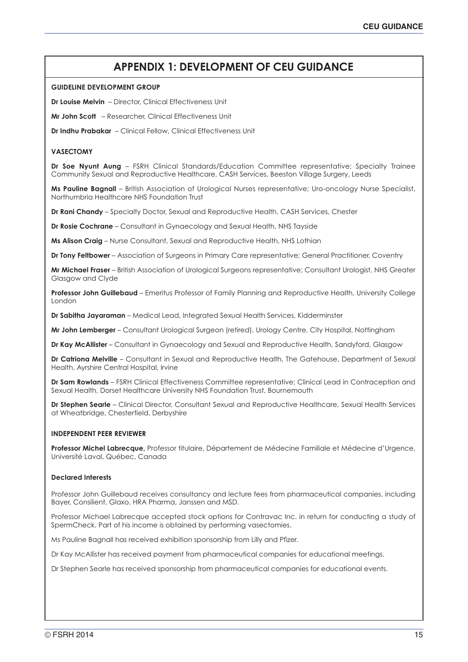# **APPENDIX 1: DEVELOPMENT OF CEU GUIDANCE**

#### **GUIDELINE DEVELOPMENT GROUP**

**Dr Louise Melvin** – Director, Clinical Effectiveness Unit

**Mr John Scott** – Researcher, Clinical Effectiveness Unit

**Dr Indhu Prabakar** – Clinical Fellow, Clinical Effectiveness Unit

### **VASECTOMY**

**Dr Soe Nyunt Aung** – FSRH Clinical Standards/Education Committee representative; Specialty Trainee Community Sexual and Reproductive Healthcare, CASH Services, Beeston Village Surgery, Leeds

**Ms Pauline Bagnall** – British Association of Urological Nurses representative; Uro-oncology Nurse Specialist, Northumbria Healthcare NHS Foundation Trust

**Dr Rani Chandy** – Specialty Doctor, Sexual and Reproductive Health, CASH Services, Chester

**Dr Rosie Cochrane** – Consultant in Gynaecology and Sexual Health, NHS Tayside

**Ms Alison Craig** – Nurse Consultant, Sexual and Reproductive Health, NHS Lothian

**Dr Tony Feltbower** – Association of Surgeons in Primary Care representative; General Practitioner, Coventry

**Mr Michael Fraser** – British Association of Urological Surgeons representative; Consultant Urologist, NHS Greater Glasgow and Clyde

**Professor John Guillebaud** – Emeritus Professor of Family Planning and Reproductive Health, University College London

**Dr Sabitha Jayaraman** – Medical Lead, Integrated Sexual Health Services, Kidderminster

**Mr John Lemberger** – Consultant Urological Surgeon (retired), Urology Centre, City Hospital, Nottingham

**Dr Kay McAllister** – Consultant in Gynaecology and Sexual and Reproductive Health, Sandyford, Glasgow

**Dr Catriona Melville** – Consultant in Sexual and Reproductive Health, The Gatehouse, Department of Sexual Health, Ayrshire Central Hospital, Irvine

**Dr Sam Rowlands** – FSRH Clinical Effectiveness Committee representative; Clinical Lead in Contraception and Sexual Health, Dorset Healthcare University NHS Foundation Trust, Bournemouth

**Dr Stephen Searle** – Clinical Director, Consultant Sexual and Reproductive Healthcare, Sexual Health Services at Wheatbridge, Chesterfield, Derbyshire

#### **INDEPENDENT PEER REVIEWER**

**Professor Michel Labrecque,** Professor titulaire, Département de Médecine Familiale et Médecine d'Urgence, Université Laval, Québec, Canada

### **Declared Interests**

Professor John Guillebaud receives consultancy and lecture fees from pharmaceutical companies, including Bayer, Consilient, Glaxo, HRA Pharma, Janssen and MSD.

Professor Michael Labrecque accepted stock options for Contravac Inc. in return for conducting a study of SpermCheck. Part of his income is obtained by performing vasectomies.

Ms Pauline Bagnall has received exhibition sponsorship from Lilly and Pfizer.

Dr Kay McAllister has received payment from pharmaceutical companies for educational meetings.

Dr Stephen Searle has received sponsorship from pharmaceutical companies for educational events.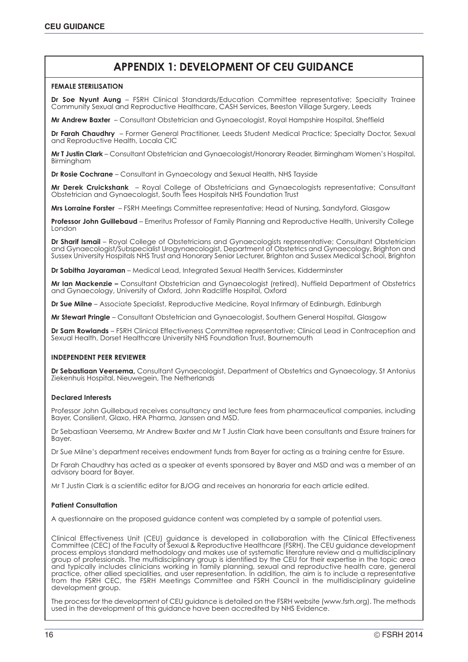# **APPENDIX 1: DEVELOPMENT OF CEU GUIDANCE**

#### **FEMALE STERILISATION**

**Dr Soe Nyunt Aung** – FSRH Clinical Standards/Education Committee representative; Specialty Trainee Community Sexual and Reproductive Healthcare, CASH Services, Beeston Village Surgery, Leeds

**Mr Andrew Baxter** – Consultant Obstetrician and Gynaecologist, Royal Hampshire Hospital, Sheffield

**Dr Farah Chaudhry** – Former General Practitioner, Leeds Student Medical Practice; Specialty Doctor, Sexual and Reproductive Health, Locala CIC

**Mr T Justin Clark** – Consultant Obstetrician and Gynaecologist/Honorary Reader, Birmingham Women's Hospital, Birmingham

**Dr Rosie Cochrane** – Consultant in Gynaecology and Sexual Health, NHS Tayside

**Mr Derek Cruickshank** – Royal College of Obstetricians and Gynaecologists representative; Consultant Obstetrician and Gynaecologist, South Tees Hospitals NHS Foundation Trust

**Mrs Lorraine Forster** – FSRH Meetings Committee representative; Head of Nursing, Sandyford, Glasgow

**Professor John Guillebaud** – Emeritus Professor of Family Planning and Reproductive Health, University College London

**Dr Sharif Ismail** – Royal College of Obstetricians and Gynaecologists representative; Consultant Obstetrician and Gynaecologist/Subspecialist Urogynaecologist, Department of Obstetrics and Gynaecology, Brighton and Sussex University Hospitals NHS Trust and Honorary Senior Lecturer, Brighton and Sussex Medical School, Brighton

**Dr Sabitha Jayaraman** – Medical Lead, Integrated Sexual Health Services, Kidderminster

**Mr Ian Mackenzie –** Consultant Obstetrician and Gynaecologist (retired), Nuffield Department of Obstetrics and Gynaecology, University of Oxford, John Radcliffe Hospital, Oxford

**Dr Sue Milne** – Associate Specialist, Reproductive Medicine, Royal Infirmary of Edinburgh, Edinburgh

**Mr Stewart Pringle** – Consultant Obstetrician and Gynaecologist, Southern General Hospital, Glasgow

**Dr Sam Rowlands** – FSRH Clinical Effectiveness Committee representative; Clinical Lead in Contraception and Sexual Health, Dorset Healthcare University NHS Foundation Trust, Bournemouth

#### **INDEPENDENT PEER REVIEWER**

**Dr Sebastiaan Veersema,** Consultant Gynaecologist, Department of Obstetrics and Gynaecology, St Antonius Ziekenhuis Hospital, Nieuwegein, The Netherlands

#### **Declared Interests**

Professor John Guillebaud receives consultancy and lecture fees from pharmaceutical companies, including Bayer, Consilient, Glaxo, HRA Pharma, Janssen and MSD.

Dr Sebastiaan Veersema, Mr Andrew Baxter and Mr T Justin Clark have been consultants and Essure trainers for Bayer.

Dr Sue Milne's department receives endowment funds from Bayer for acting as a training centre for Essure.

Dr Farah Chaudhry has acted as a speaker at events sponsored by Bayer and MSD and was a member of an advisory board for Bayer.

Mr T Justin Clark is a scientific editor for *BJOG* and receives an honoraria for each article edited.

#### **Patient Consultation**

A questionnaire on the proposed guidance content was completed by a sample of potential users.

Clinical Effectiveness Unit (CEU) guidance is developed in collaboration with the Clinical Effectiveness Committee (CEC) of the Faculty of Sexual & Reproductive Healthcare (FSRH). The CEU guidance development process employs standard methodology and makes use of systematic literature review and a multidisciplinary group of professionals. The multidisciplinary group is identified by the CEU for their expertise in the topic area and typically includes clinicians working in family planning, sexual and reproductive health care, general practice, other allied specialities, and user representation. In addition, the aim is to include a representative from the FSRH CEC, the FSRH Meetings Committee and FSRH Council in the multidisciplinary guideline development group.

The process for the development of CEU guidance is detailed on the FSRH website (www.fsrh.org). The methods used in the development of this guidance have been accredited by NHS Evidence.